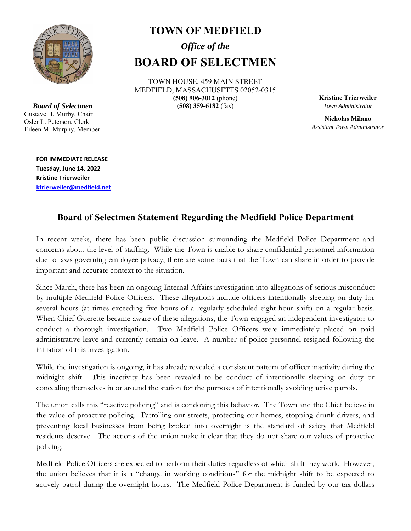

*Board of Selectmen*  Gustave H. Murby, Chair Osler L. Peterson, Clerk Eileen M. Murphy, Member

## **TOWN OF MEDFIELD**  *Office of the*

## **BOARD OF SELECTMEN**

TOWN HOUSE, 459 MAIN STREET MEDFIELD, MASSACHUSETTS 02052-0315 **(508) 906-3012** (phone) **(508) 359-6182** (fax)

**Kristine Trierweiler** *Town Administrator* 

**Nicholas Milano**  *Assistant Town Administrator* 

**FOR IMMEDIATE RELEASE Tuesday, June 14, 2022 Kristine Trierweiler ktrierweiler@medfield.net**

## **Board of Selectmen Statement Regarding the Medfield Police Department**

In recent weeks, there has been public discussion surrounding the Medfield Police Department and concerns about the level of staffing. While the Town is unable to share confidential personnel information due to laws governing employee privacy, there are some facts that the Town can share in order to provide important and accurate context to the situation.

Since March, there has been an ongoing Internal Affairs investigation into allegations of serious misconduct by multiple Medfield Police Officers. These allegations include officers intentionally sleeping on duty for several hours (at times exceeding five hours of a regularly scheduled eight-hour shift) on a regular basis. When Chief Guerette became aware of these allegations, the Town engaged an independent investigator to conduct a thorough investigation. Two Medfield Police Officers were immediately placed on paid administrative leave and currently remain on leave. A number of police personnel resigned following the initiation of this investigation.

While the investigation is ongoing, it has already revealed a consistent pattern of officer inactivity during the midnight shift. This inactivity has been revealed to be conduct of intentionally sleeping on duty or concealing themselves in or around the station for the purposes of intentionally avoiding active patrols.

The union calls this "reactive policing" and is condoning this behavior. The Town and the Chief believe in the value of proactive policing. Patrolling our streets, protecting our homes, stopping drunk drivers, and preventing local businesses from being broken into overnight is the standard of safety that Medfield residents deserve. The actions of the union make it clear that they do not share our values of proactive policing.

Medfield Police Officers are expected to perform their duties regardless of which shift they work. However, the union believes that it is a "change in working conditions" for the midnight shift to be expected to actively patrol during the overnight hours. The Medfield Police Department is funded by our tax dollars